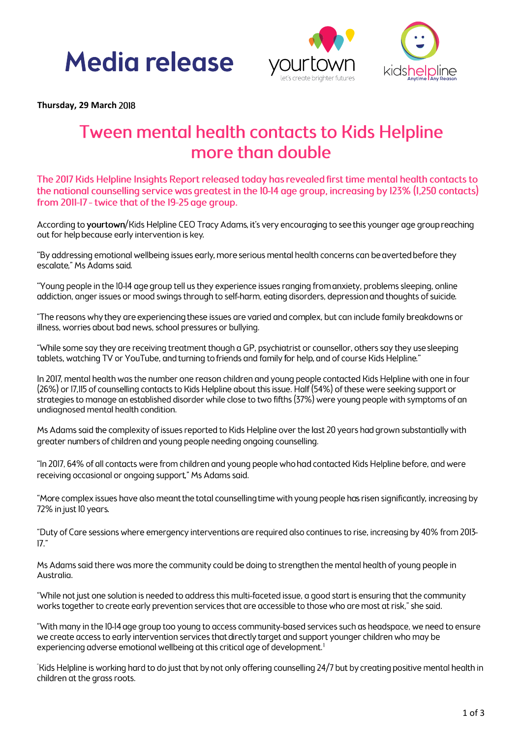## **Media release**





Thursday, 29 March 2018

### **Tween mental health contacts to Kids Helpline** more than double

The 2017 Kids Helpline Insights Report released today has revealed first time mental health contacts to the national counselling service was greatest in the 10-14 age group, increasing by 123% (1,250 contacts) from 2011-17 - twice that of the 19-25 age group.

According to yourtown/Kids Helpline CEO Tracy Adams, it's very encouraging to see this younger age group reaching out for help because early intervention is key.

"By addressing emotional wellbeing issues early, more serious mental health concerns can be averted before they escalate," Ms Adams said.

"Young people in the 10-14 age group tell us they experience issues ranging from anxiety, problems sleeping, online addiction, anger issues or mood swings through to self-harm, eating disorders, depression and thoughts of suicide.

"The reasons why they are experiencing these issues are varied and complex, but can include family breakdowns or illness, worries about bad news, school pressures or bullying.

"While some say they are receiving treatment though a GP, psychiatrist or counsellor, others say they use sleeping tablets, watching TV or YouTube, and turning to friends and family for help, and of course Kids Helpline."

In 2017, mental health was the number one reason children and young people contacted Kids Helpline with one in four (26%) or 17,115 of counselling contacts to Kids Helpline about this issue. Half (54%) of these were seeking support or strategies to manage an established disorder while close to two fifths (37%) were young people with symptoms of an undiagnosed mental health condition.

Ms Adams said the complexity of issues reported to Kids Helpline over the last 20 years had grown substantially with greater numbers of children and young people needing ongoing counselling.

"In 2017, 64% of all contacts were from children and young people who had contacted Kids Helpline before, and were receiving occasional or ongoing support," Ms Adams said.

"More complex issues have also meant the total counselling time with young people has risen significantly, increasing by 72% in just 10 years.

"Duty of Care sessions where emergency interventions are required also continues to rise, increasing by 40% from 2013- $17"$ 

Ms Adams said there was more the community could be doing to strengthen the mental health of young people in Australia.

"While not just one solution is needed to address this multi-faceted issue, a good start is ensuring that the community works together to create early prevention services that are accessible to those who are most at risk," she said.

"With many in the I0-14 age group too young to access community-based services such as headspace, we need to ensure we create access to early intervention services that directly target and support younger children who may be experiencing adverse emotional wellbeing at this critical age of development.<sup>1</sup>

"Kids Helpline is working hard to do just that by not only offering counselling 24/7 but by creating positive mental health in children at the grass roots.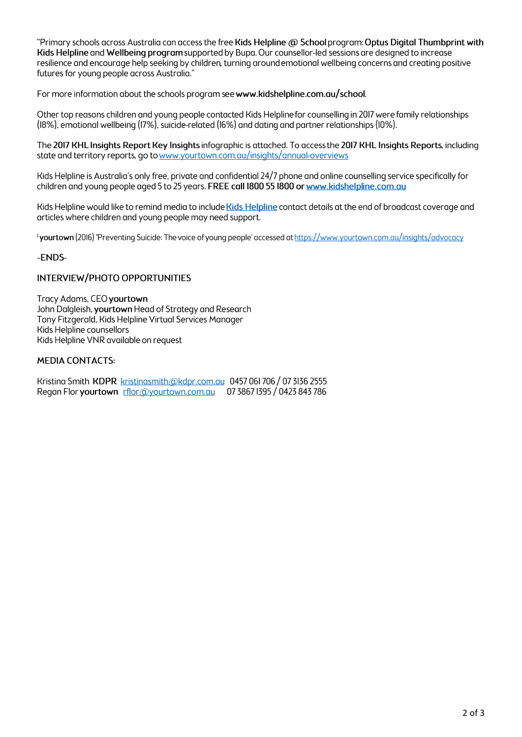"Primary schools across Australia can access the free Kids Helpline @ School program: Optus Digital Thumbprint with Kids Helpline and Wellbeing program supported by Bupa. Our counsellor-led sessions are designed to increase resilience and encourage help seeking by children, turning around emotional wellbeing concerns and creating positive futures for young people across Australia."

For more information about the schools program see www.kidshelpline.com.gu/school.

Other top reasons children and young people contacted Kids Helpline for counselling in 2017 were family relationships (18%), emotional wellbeing (17%), suicide-related (16%) and dating and partner relationships (10%).

The 2017 KHL Insights Report Key Insights infographic is attached. To access the 2017 KHL Insights Reports, including state and territory reports, go to www.yourtown.com.au/insights/annual-overviews

Kids Helpline is Australia's only free, private and confidential 24/7 phone and online counselling service specifically for children and young people aged 5 to 25 years. FREE call 1800 55 1800 or www.kidshelpline.com.au

Kids Helpline would like to remind media to include Kids Helpline contact details at the end of broadcast coverage and articles where children and young people may need support.

<sup>1</sup>yourtown (2016) 'Preventing Suicide: The voice of young people' accessed at https://www.yourtown.com.au/insiahts/advocacv

-ENDS-

#### **INTERVIEW/PHOTO OPPORTUNITIES**

Tracy Adams, CEO yourtown John Dalgleish, yourtown Head of Strategy and Research Tony Fitzgerald, Kids Helpline Virtual Services Manager Kids Helpline counsellors Kids Helpline VNR available on request

#### **MEDIA CONTACTS:**

Kristing Smith KDPR kristingsmith@kdpr.com.gu 0457 061 706 / 07 3136 2555 Regan Flor yourtown rflor@yourtown.com.gu 07 3867 1395 / 0423 843 786